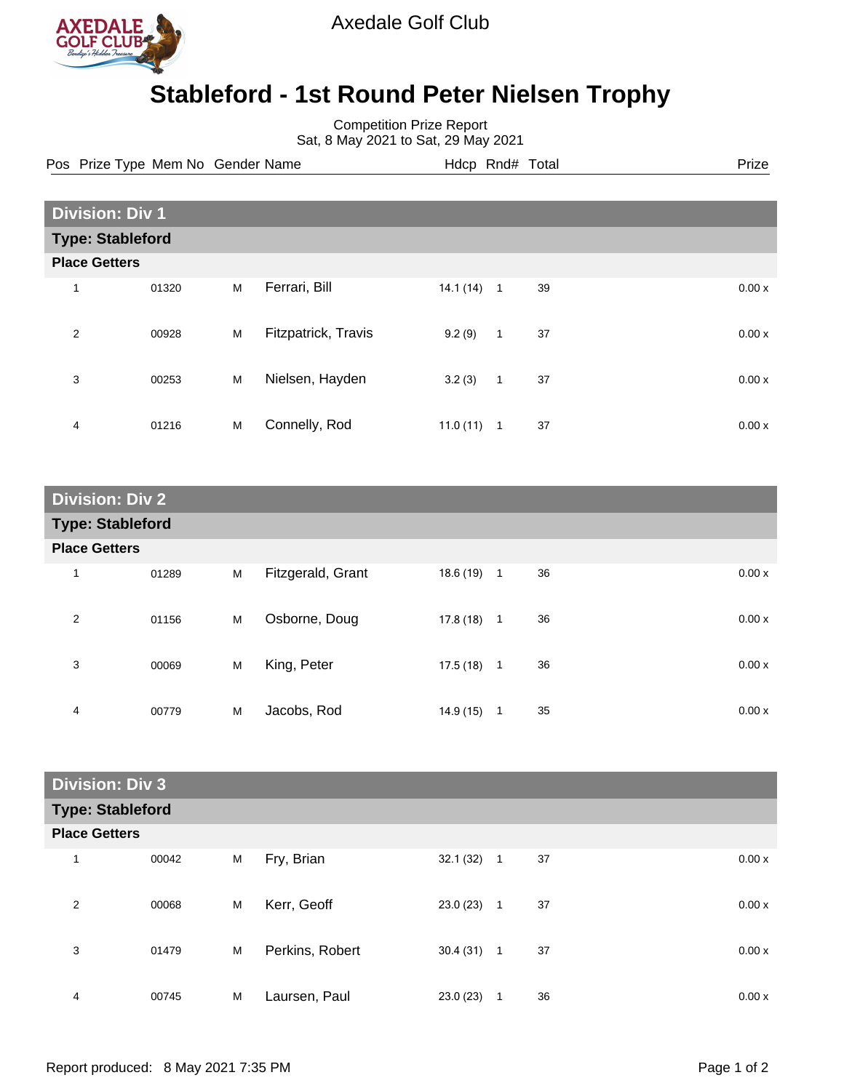

Axedale Golf Club

## **Stableford - 1st Round Peter Nielsen Trophy**

Competition Prize Report

Sat, 8 May 2021 to Sat, 29 May 2021

Pos Prize Type Mem No Gender Name **Hdcp Rnd# Total** Prize Prize

| <b>Division: Div 1</b>  |       |   |                     |          |              |    |  |       |
|-------------------------|-------|---|---------------------|----------|--------------|----|--|-------|
| <b>Type: Stableford</b> |       |   |                     |          |              |    |  |       |
| <b>Place Getters</b>    |       |   |                     |          |              |    |  |       |
| 1                       | 01320 | М | Ferrari, Bill       | 14.1(14) | $\mathbf{1}$ | 39 |  | 0.00x |
| 2                       | 00928 | M | Fitzpatrick, Travis | 9.2(9)   | $\mathbf{1}$ | 37 |  | 0.00x |
| 3                       | 00253 | M | Nielsen, Hayden     | 3.2(3)   | $\mathbf{1}$ | 37 |  | 0.00x |
| $\overline{4}$          | 01216 | M | Connelly, Rod       | 11.0(11) | 1            | 37 |  | 0.00x |

| <b>Division: Div 2</b>  |       |   |                   |           |              |    |       |  |
|-------------------------|-------|---|-------------------|-----------|--------------|----|-------|--|
| <b>Type: Stableford</b> |       |   |                   |           |              |    |       |  |
| <b>Place Getters</b>    |       |   |                   |           |              |    |       |  |
| 1                       | 01289 | M | Fitzgerald, Grant | 18.6 (19) | $\mathbf{1}$ | 36 | 0.00x |  |
| $\overline{2}$          | 01156 | M | Osborne, Doug     | 17.8 (18) | $\mathbf 1$  | 36 | 0.00x |  |
| 3                       | 00069 | M | King, Peter       | 17.5(18)  | $\mathbf{1}$ | 36 | 0.00x |  |
| 4                       | 00779 | M | Jacobs, Rod       | 14.9 (15) | 1            | 35 | 0.00x |  |

| <b>Division: Div 3</b>  |       |   |                 |          |              |    |       |
|-------------------------|-------|---|-----------------|----------|--------------|----|-------|
| <b>Type: Stableford</b> |       |   |                 |          |              |    |       |
| <b>Place Getters</b>    |       |   |                 |          |              |    |       |
| $\mathbf{1}$            | 00042 | M | Fry, Brian      | 32.1(32) | $\mathbf{1}$ | 37 | 0.00x |
| 2                       | 00068 | M | Kerr, Geoff     | 23.0(23) | $\mathbf{1}$ | 37 | 0.00x |
| 3                       | 01479 | M | Perkins, Robert | 30.4(31) | $\mathbf{1}$ | 37 | 0.00x |
| 4                       | 00745 | M | Laursen, Paul   | 23.0(23) | 1            | 36 | 0.00x |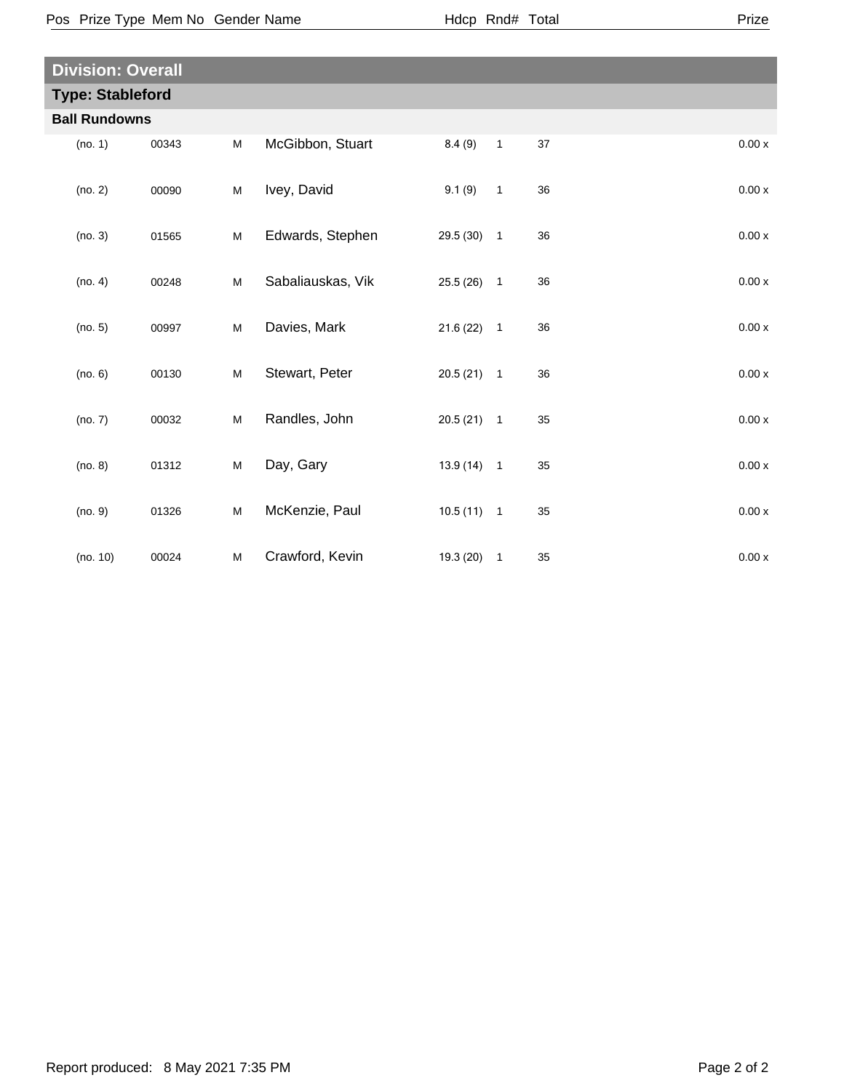| <b>Division: Overall</b> |       |   |                   |              |                            |    |       |
|--------------------------|-------|---|-------------------|--------------|----------------------------|----|-------|
| <b>Type: Stableford</b>  |       |   |                   |              |                            |    |       |
| <b>Ball Rundowns</b>     |       |   |                   |              |                            |    |       |
| (no. 1)                  | 00343 | М | McGibbon, Stuart  | 8.4(9)       | $\overline{1}$             | 37 | 0.00x |
| (no. 2)                  | 00090 | M | Ivey, David       | 9.1(9)       | $\overline{1}$             | 36 | 0.00x |
| (no. 3)                  | 01565 | M | Edwards, Stephen  | 29.5 (30)    | $\overline{\phantom{0}}$   | 36 | 0.00x |
| (no. 4)                  | 00248 | M | Sabaliauskas, Vik | $25.5(26)$ 1 |                            | 36 | 0.00x |
| (no. 5)                  | 00997 | M | Davies, Mark      | 21.6(22)     | $\overline{\phantom{0}}$ 1 | 36 | 0.00x |
| (no. 6)                  | 00130 | M | Stewart, Peter    | $20.5(21)$ 1 |                            | 36 | 0.00x |
| (no. 7)                  | 00032 | M | Randles, John     | $20.5(21)$ 1 |                            | 35 | 0.00x |
| (no. 8)                  | 01312 | M | Day, Gary         | $13.9(14)$ 1 |                            | 35 | 0.00x |
| (no. 9)                  | 01326 | M | McKenzie, Paul    | $10.5(11)$ 1 |                            | 35 | 0.00x |
| (no. 10)                 | 00024 | М | Crawford, Kevin   | $19.3(20)$ 1 |                            | 35 | 0.00x |